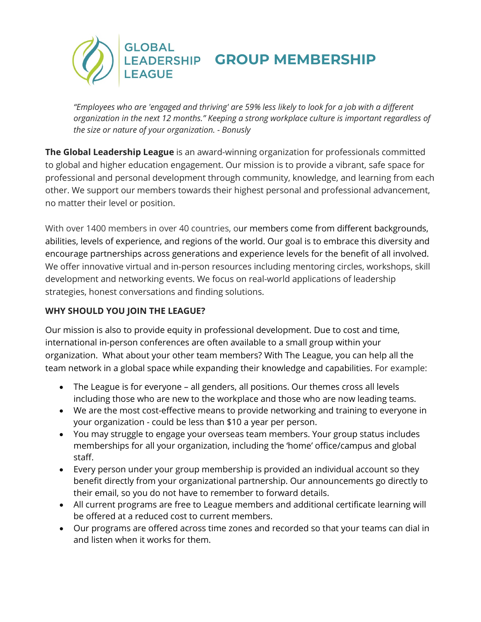

*"Employees who are 'engaged and thriving' are 59% less likely to look for a job with a different organization in the next 12 months." Keeping a strong workplace culture is important regardless of the size or nature of your organization. - Bonusly*

**The Global Leadership League** is an award-winning organization for professionals committed to global and higher education engagement. Our mission is to provide a vibrant, safe space for professional and personal development through community, knowledge, and learning from each other. We support our members towards their highest personal and professional advancement, no matter their level or position.

With over 1400 members in over 40 countries, our members come from different backgrounds, abilities, levels of experience, and regions of the world. Our goal is to embrace this diversity and encourage partnerships across generations and experience levels for the benefit of all involved. We offer innovative virtual and in-person resources including mentoring circles, workshops, skill development and networking events. We focus on real-world applications of leadership strategies, honest conversations and finding solutions.

## **WHY SHOULD YOU JOIN THE LEAGUE?**

Our mission is also to provide equity in professional development. Due to cost and time, international in-person conferences are often available to a small group within your organization. What about your other team members? With The League, you can help all the team network in a global space while expanding their knowledge and capabilities. For example:

- The League is for everyone all genders, all positions. Our themes cross all levels including those who are new to the workplace and those who are now leading teams.
- We are the most cost-effective means to provide networking and training to everyone in your organization - could be less than \$10 a year per person.
- You may struggle to engage your overseas team members. Your group status includes memberships for all your organization, including the 'home' office/campus and global staff.
- Every person under your group membership is provided an individual account so they benefit directly from your organizational partnership. Our announcements go directly to their email, so you do not have to remember to forward details.
- All current programs are free to League members and additional certificate learning will be offered at a reduced cost to current members.
- Our programs are offered across time zones and recorded so that your teams can dial in and listen when it works for them.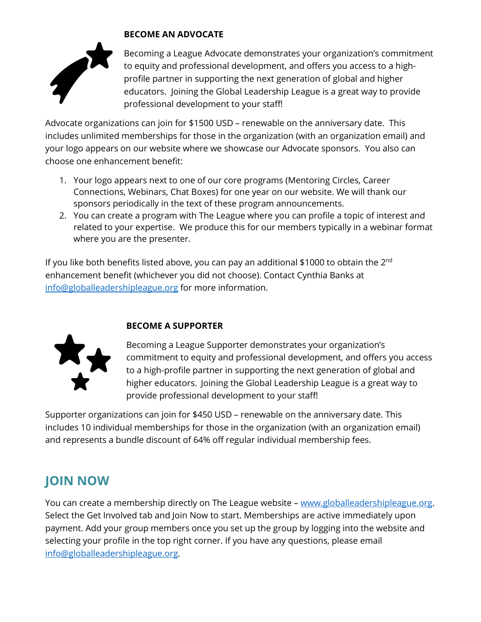

## **BECOME AN ADVOCATE**

Becoming a League Advocate demonstrates your organization's commitment to equity and professional development, and offers you access to a highprofile partner in supporting the next generation of global and higher educators. Joining the Global Leadership League is a great way to provide professional development to your staff!

Advocate organizations can join for \$1500 USD – renewable on the anniversary date. This includes unlimited memberships for those in the organization (with an organization email) and your logo appears on our website where we showcase our Advocate sponsors. You also can choose one enhancement benefit:

- 1. Your logo appears next to one of our core programs (Mentoring Circles, Career Connections, Webinars, Chat Boxes) for one year on our website. We will thank our sponsors periodically in the text of these program announcements.
- 2. You can create a program with The League where you can profile a topic of interest and related to your expertise. We produce this for our members typically in a webinar format where you are the presenter.

If you like both benefits listed above, you can pay an additional \$1000 to obtain the  $2^{nd}$ enhancement benefit (whichever you did not choose). Contact Cynthia Banks at [info@globalleadershipleague.org](mailto:info@globalleadershipleague.org) for more information.



## **BECOME A SUPPORTER**

Becoming a League Supporter demonstrates your organization's commitment to equity and professional development, and offers you access to a high-profile partner in supporting the next generation of global and higher educators. Joining the Global Leadership League is a great way to provide professional development to your staff!

Supporter organizations can join for \$450 USD – renewable on the anniversary date. This includes 10 individual memberships for those in the organization (with an organization email) and represents a bundle discount of 64% off regular individual membership fees.

## **JOIN NOW**

You can create a membership directly on The League website – [www.globalleadershipleague.org.](http://www.globalleadershipleague.org/) Select the Get Involved tab and Join Now to start. Memberships are active immediately upon payment. Add your group members once you set up the group by logging into the website and selecting your profile in the top right corner. If you have any questions, please email [info@globalleadershipleague.org.](mailto:info@globalleadershipleague.org)